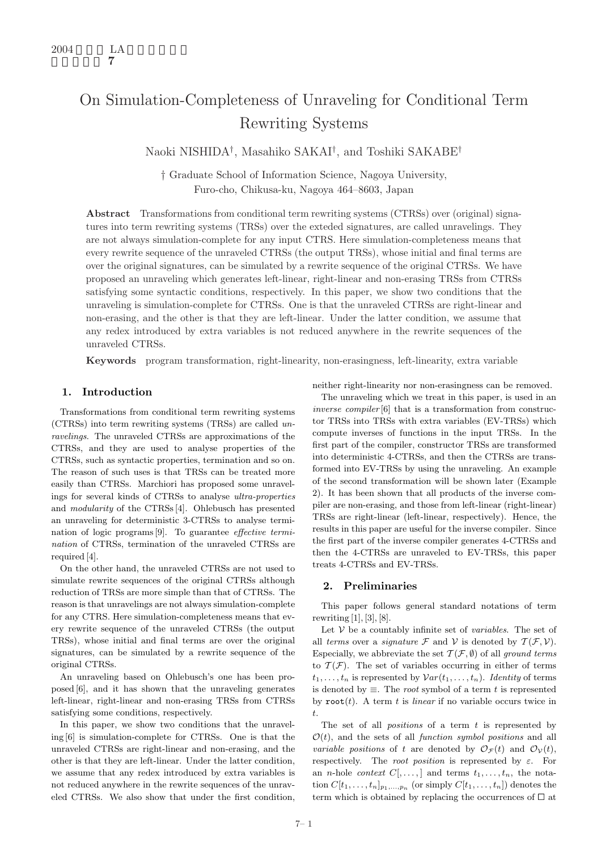# On Simulation-Completeness of Unraveling for Conditional Term Rewriting Systems

Naoki NISHIDA† , Masahiko SAKAI† , and Toshiki SAKABE†

† Graduate School of Information Science, Nagoya University, Furo-cho, Chikusa-ku, Nagoya 464–8603, Japan

Abstract Transformations from conditional term rewriting systems (CTRSs) over (original) signatures into term rewriting systems (TRSs) over the exteded signatures, are called unravelings. They are not always simulation-complete for any input CTRS. Here simulation-completeness means that every rewrite sequence of the unraveled CTRSs (the output TRSs), whose initial and final terms are over the original signatures, can be simulated by a rewrite sequence of the original CTRSs. We have proposed an unraveling which generates left-linear, right-linear and non-erasing TRSs from CTRSs satisfying some syntactic conditions, respectively. In this paper, we show two conditions that the unraveling is simulation-complete for CTRSs. One is that the unraveled CTRSs are right-linear and non-erasing, and the other is that they are left-linear. Under the latter condition, we assume that any redex introduced by extra variables is not reduced anywhere in the rewrite sequences of the unraveled CTRSs.

Keywords program transformation, right-linearity, non-erasingness, left-linearity, extra variable

## 1. Introduction

Transformations from conditional term rewriting systems (CTRSs) into term rewriting systems (TRSs) are called unravelings. The unraveled CTRSs are approximations of the CTRSs, and they are used to analyse properties of the CTRSs, such as syntactic properties, termination and so on. The reason of such uses is that TRSs can be treated more easily than CTRSs. Marchiori has proposed some unravelings for several kinds of CTRSs to analyse ultra-properties and modularity of the CTRSs [4]. Ohlebusch has presented an unraveling for deterministic 3-CTRSs to analyse termination of logic programs [9]. To guarantee effective termination of CTRSs, termination of the unraveled CTRSs are required [4].

On the other hand, the unraveled CTRSs are not used to simulate rewrite sequences of the original CTRSs although reduction of TRSs are more simple than that of CTRSs. The reason is that unravelings are not always simulation-complete for any CTRS. Here simulation-completeness means that every rewrite sequence of the unraveled CTRSs (the output TRSs), whose initial and final terms are over the original signatures, can be simulated by a rewrite sequence of the original CTRSs.

An unraveling based on Ohlebusch's one has been proposed [6], and it has shown that the unraveling generates left-linear, right-linear and non-erasing TRSs from CTRSs satisfying some conditions, respectively.

In this paper, we show two conditions that the unraveling [6] is simulation-complete for CTRSs. One is that the unraveled CTRSs are right-linear and non-erasing, and the other is that they are left-linear. Under the latter condition, we assume that any redex introduced by extra variables is not reduced anywhere in the rewrite sequences of the unraveled CTRSs. We also show that under the first condition,

neither right-linearity nor non-erasingness can be removed.

The unraveling which we treat in this paper, is used in an inverse compiler [6] that is a transformation from constructor TRSs into TRSs with extra variables (EV-TRSs) which compute inverses of functions in the input TRSs. In the first part of the compiler, constructor TRSs are transformed into deterministic 4-CTRSs, and then the CTRSs are transformed into EV-TRSs by using the unraveling. An example of the second transformation will be shown later (Example 2). It has been shown that all products of the inverse compiler are non-erasing, and those from left-linear (right-linear) TRSs are right-linear (left-linear, respectively). Hence, the results in this paper are useful for the inverse compiler. Since the first part of the inverse compiler generates 4-CTRSs and then the 4-CTRSs are unraveled to EV-TRSs, this paper treats 4-CTRSs and EV-TRSs.

## 2. Preliminaries

This paper follows general standard notations of term rewriting  $[1], [3], [8].$ 

Let  $V$  be a countably infinite set of *variables*. The set of all terms over a signature  $\mathcal F$  and  $\mathcal V$  is denoted by  $\mathcal T(\mathcal F,\mathcal V)$ . Especially, we abbreviate the set  $\mathcal{T}(\mathcal{F}, \emptyset)$  of all ground terms to  $\mathcal{T}(\mathcal{F})$ . The set of variables occurring in either of terms  $t_1, \ldots, t_n$  is represented by  $Var(t_1, \ldots, t_n)$ . Identity of terms is denoted by  $\equiv$ . The *root* symbol of a term t is represented by  $\text{root}(t)$ . A term t is linear if no variable occurs twice in t.

The set of all *positions* of a term  $t$  is represented by  $\mathcal{O}(t)$ , and the sets of all *function symbol positions* and all variable positions of t are denoted by  $\mathcal{O}_{\mathcal{F}}(t)$  and  $\mathcal{O}_{\mathcal{V}}(t)$ , respectively. The root position is represented by  $\varepsilon$ . For an *n*-hole *context*  $C[\ldots, ]$  and terms  $t_1, \ldots, t_n$ , the notation  $C[t_1, \ldots, t_n]_{p_1,\ldots,p_n}$  (or simply  $C[t_1, \ldots, t_n]$ ) denotes the term which is obtained by replacing the occurrences of  $\Box$  at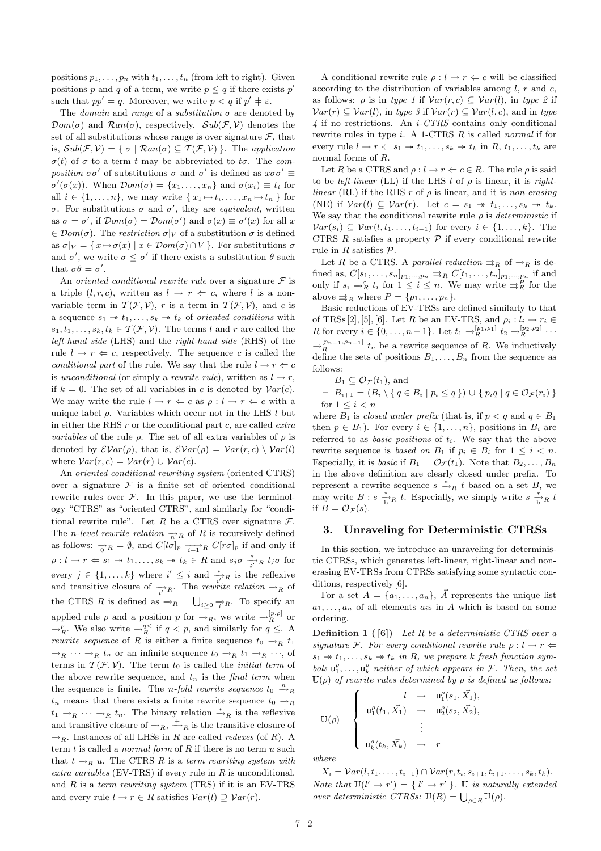positions  $p_1, \ldots, p_n$  with  $t_1, \ldots, t_n$  (from left to right). Given positions p and q of a term, we write  $p \leq q$  if there exists p' such that  $pp' = q$ . Moreover, we write  $p < q$  if  $p' \neq \varepsilon$ .

The *domain* and *range* of a *substitution*  $\sigma$  are denoted by  $\mathcal{D}om(\sigma)$  and  $\mathcal{R}an(\sigma)$ , respectively.  $\mathcal{S}ub(\mathcal{F}, \mathcal{V})$  denotes the set of all substitutions whose range is over signature  $\mathcal{F}$ , that is,  $Sub(\mathcal{F}, \mathcal{V}) = \{ \sigma \mid Ran(\sigma) \subseteq \mathcal{T}(\mathcal{F}, \mathcal{V}) \}$ . The application  $\sigma(t)$  of  $\sigma$  to a term t may be abbreviated to t $\sigma$ . The composition  $\sigma \sigma'$  of substitutions  $\sigma$  and  $\sigma'$  is defined as  $x \sigma \sigma' \equiv$  $\sigma'(\sigma(x))$ . When  $\mathcal{D}om(\sigma) = \{x_1, \ldots, x_n\}$  and  $\sigma(x_i) \equiv t_i$  for all  $i \in \{1, \ldots, n\}$ , we may write  $\{x_1 \mapsto t_i, \ldots, x_n \mapsto t_n\}$  for σ. For substitutions σ and σ', they are *equivalent*, written as  $\sigma = \sigma'$ , if  $\mathcal{D}om(\sigma) = \mathcal{D}om(\sigma')$  and  $\sigma(x) \equiv \sigma'(x)$  for all x  $\in \mathcal{D}om(\sigma)$ . The restriction  $\sigma|_V$  of a substitution  $\sigma$  is defined as  $\sigma|_V = \{x \mapsto \sigma(x) \mid x \in \mathcal{D}om(\sigma) \cap V\}$ . For substitutions  $\sigma$ and  $\sigma'$ , we write  $\sigma \leq \sigma'$  if there exists a substitution  $\theta$  such that  $\sigma \theta = \sigma'$ .

An oriented conditional rewrite rule over a signature  $\mathcal F$  is a triple  $(l, r, c)$ , written as  $l \rightarrow r \Leftarrow c$ , where l is a nonvariable term in  $\mathcal{T}(\mathcal{F}, \mathcal{V})$ , r is a term in  $\mathcal{T}(\mathcal{F}, \mathcal{V})$ , and c is a sequence  $s_1 \rightarrow t_1, \ldots, s_k \rightarrow t_k$  of oriented conditions with  $s_1, t_1, \ldots, s_k, t_k \in \mathcal{T}(\mathcal{F}, \mathcal{V})$ . The terms l and r are called the left-hand side (LHS) and the right-hand side (RHS) of the rule  $l \rightarrow r \Leftarrow c$ , respectively. The sequence c is called the conditional part of the rule. We say that the rule  $l \rightarrow r \Leftarrow c$ is unconditional (or simply a rewrite rule), written as  $l \rightarrow r$ , if  $k = 0$ . The set of all variables in c is denoted by  $Var(c)$ . We may write the rule  $l \to r \Leftarrow c$  as  $\rho : l \to r \Leftarrow c$  with a unique label  $\rho$ . Variables which occur not in the LHS  $l$  but in either the RHS  $r$  or the conditional part  $c$ , are called  $ext{rxt}$ variables of the rule  $\rho$ . The set of all extra variables of  $\rho$  is denoted by  $\mathcal{E}Var(\rho)$ , that is,  $\mathcal{E}Var(\rho) = Var(r, c) \setminus Var(l)$ where  $Var(r, c) = Var(r) \cup Var(c)$ .

An oriented conditional rewriting system (oriented CTRS) over a signature  $\mathcal F$  is a finite set of oriented conditional rewrite rules over  $\mathcal{F}$ . In this paper, we use the terminology "CTRS" as "oriented CTRS", and similarly for "conditional rewrite rule". Let R be a CTRS over signature  $\mathcal{F}$ . The *n*-level rewrite relation  $\rightarrow_R$  of R is recursively defined as follows:  $\frac{\partial}{\partial R} = \emptyset$ , and  $C[l\sigma]_p \xrightarrow[i+1]{} R C[r\sigma]_p$  if and only if  $\rho: l \to r \Leftarrow s_1 \twoheadrightarrow t_1, \ldots, s_k \twoheadrightarrow t_k \in R$  and  $s_j \sigma \stackrel{*}{\underset{i'}{\longrightarrow} R} t_j \sigma$  for every  $j \in \{1, ..., k\}$  where  $i' \leq i$  and  $\frac{*}{i'}R$  is the reflexive and transitive closure of  $\frac{1}{i'}R$ . The rewrite relation  $\rightarrow_R$  of the CTRS R is defined as  $\rightarrow_R = \bigcup_{i \geq 0} \frac{1}{i} R$ . To specify an applied rule  $\rho$  and a position p for  $\rightarrow_R$ , we write  $\rightarrow_R^{[p,\rho]}$  or  $\rightarrow_R^p$ . We also write  $\rightarrow_R^{q<}$  if  $q < p$ , and similarly for  $q \leq$ . A *rewrite sequence* of R is either a finite sequence  $t_0 \rightarrow_R t_1$  $\rightarrow_R \cdots \rightarrow_R t_n$  or an infinite sequence  $t_0 \rightarrow_R t_1 \rightarrow_R \cdots$ , of terms in  $\mathcal{T}(\mathcal{F}, \mathcal{V})$ . The term t<sub>0</sub> is called the *initial term* of the above rewrite sequence, and  $t_n$  is the final term when the sequence is finite. The *n*-fold rewrite sequence  $t_0 \stackrel{n}{\rightarrow}_R$  $t_n$  means that there exists a finite rewrite sequence  $t_0 \rightarrow_R$  $t_1 \rightarrow_R \cdots \rightarrow_R t_n$ . The binary relation  $\stackrel{*}{\rightarrow}_R$  is the reflexive and transitive closure of  $\rightarrow_R$ ,  $\stackrel{+}{\rightarrow}_R$  is the transitive closure of  $\rightarrow_R$ . Instances of all LHSs in R are called *redexes* (of R). A term  $t$  is called a *normal form* of  $R$  if there is no term  $u$  such that  $t \rightarrow_R u$ . The CTRS R is a term rewriting system with extra variables (EV-TRS) if every rule in  $R$  is unconditional, and  $R$  is a term rewriting system (TRS) if it is an EV-TRS and every rule  $l \to r \in R$  satisfies  $Var(l) \supset Var(r)$ .

A conditional rewrite rule  $\rho: l \to r \Leftarrow c$  will be classified according to the distribution of variables among  $l, r$  and  $c,$ as follows:  $\rho$  is in type 1 if  $Var(r, c) \subseteq Var(l)$ , in type 2 if  $Var(r) \subseteq Var(l)$ , in type 3 if  $Var(r) \subseteq Var(l, c)$ , and in type  $4$  if no restrictions. An  $i$ -CTRS contains only conditional rewrite rules in type  $i$ . A 1-CTRS  $R$  is called *normal* if for every rule  $l \to r \Leftarrow s_1 \to t_1, \ldots, s_k \to t_k$  in  $R, t_1, \ldots, t_k$  are normal forms of R.

Let R be a CTRS and  $\rho: l \to r \Leftarrow c \in R$ . The rule  $\rho$  is said to be *left-linear* (LL) if the LHS *l* of  $\rho$  is linear, it is *right*linear (RL) if the RHS r of  $\rho$  is linear, and it is non-erasing (NE) if  $Var(l) \subseteq Var(r)$ . Let  $c = s_1 \rightarrow t_1, \ldots, s_k \rightarrow t_k$ . We say that the conditional rewrite rule  $\rho$  is *deterministic* if  $Var(s_i) \subseteq Var(l, t_1, \ldots, t_{i-1})$  for every  $i \in \{1, \ldots, k\}$ . The CTRS  $R$  satisfies a property  $P$  if every conditional rewrite rule in  $R$  satisfies  $\mathcal{P}$ .

Let R be a CTRS. A parallel reduction  $\Rightarrow_R$  of  $\rightarrow_R$  is defined as,  $C[s_1, ..., s_n]_{p_1,...,p_n} \rightrightarrows_R C[t_1, ..., t_n]_{p_1,...,p_n}$  if and only if  $s_i \to_R^{\varepsilon} t_i$  for  $1 \leq i \leq n$ . We may write  $\Rightarrow_R^P$  for the above  $\Rightarrow_R$  where  $P = \{p_1, \ldots, p_n\}.$ 

Basic reductions of EV-TRSs are defined similarly to that of TRSs [2], [5], [6]. Let R be an EV-TRS, and  $\rho_i: l_i \to r_i \in$ R for every  $i \in \{0, ..., n-1\}$ . Let  $t_1 \to_R^{[p_1, \rho_1]} t_2 \to_R^{[p_2, \rho_2]} \cdots$  $\rightarrow_R^{[p_{n-1},p_{n-1}]}$   $t_n$  be a rewrite sequence of R. We inductively define the sets of positions  $B_1, \ldots, B_n$  from the sequence as follows:

$$
- B_1 \subseteq \mathcal{O}_{\mathcal{F}}(t_1), \text{ and}
$$

$$
- B_{i+1} = (B_i \setminus \{ q \in B_i \mid p_i \leq q \}) \cup \{ p_i q \mid q \in \mathcal{O}_{\mathcal{F}}(r_i) \}
$$
  
for  $1 \leq i < n$ 

where  $B_1$  is closed under prefix (that is, if  $p < q$  and  $q \in B_1$ ) then  $p \in B_1$ ). For every  $i \in \{1, \ldots, n\}$ , positions in  $B_i$  are referred to as *basic positions* of  $t_i$ . We say that the above rewrite sequence is based on  $B_1$  if  $p_i \in B_i$  for  $1 \leq i \leq n$ . Especially, it is *basic* if  $B_1 = \mathcal{O}_{\mathcal{F}}(t_1)$ . Note that  $B_2, \ldots, B_n$ in the above definition are clearly closed under prefix. To represent a rewrite sequence  $s \stackrel{*}{\rightharpoonup}_R t$  based on a set B, we may write  $B : s \xrightarrow[b]{*} R t$ . Especially, we simply write  $s \xrightarrow[b]{*} R t$ if  $B = \mathcal{O}_{\mathcal{F}}(s)$ .

### 3. Unraveling for Deterministic CTRSs

In this section, we introduce an unraveling for deterministic CTRSs, which generates left-linear, right-linear and nonerasing EV-TRSs from CTRSs satisfying some syntactic conditions, respectively [6].

For a set  $A = \{a_1, \ldots, a_n\}$ ,  $\vec{A}$  represents the unique list  $a_1, \ldots, a_n$  of all elements  $a_i$ s in A which is based on some ordering.

**Definition 1** ( $[6]$ ) Let R be a deterministic CTRS over a signature F. For every conditional rewrite rule  $\rho: l \to r \Leftarrow$  $s_1 \rightarrow t_1, \ldots, s_k \rightarrow t_k$  in R, we prepare k fresh function symbols  $u_1^{\rho}, \ldots, u_k^{\rho}$  neither of which appears in  $\mathcal{F}$ . Then, the set  $\mathbb{U}(\rho)$  of rewrite rules determined by  $\rho$  is defined as follows:

$$
\mathbb{U}(\rho) = \left\{ \begin{array}{ccc} l & \to & \mathsf{u}_1^{\rho}(s_1,\vec{X_1}), \\[1mm] \mathsf{u}_1^{\rho}(t_1,\vec{X_1}) & \to & \mathsf{u}_2^{\rho}(s_2,\vec{X_2}), \\[1mm] \vdots & \vdots & \\[1mm] \mathsf{u}_k^{\rho}(t_k,\vec{X_k}) & \to & r \end{array} \right.
$$

where

 $X_i = Var(l, t_1, \ldots, t_{i-1}) \cap Var(r, t_i, s_{i+1}, t_{i+1}, \ldots, s_k, t_k).$ Note that  $\mathbb{U}(l' \to r') = \{l' \to r' \}$ .  $\mathbb U$  is naturally extended over deterministic CTRSs:  $\mathbb{U}(R) = \bigcup_{\rho \in R} \mathbb{U}(\rho)$ .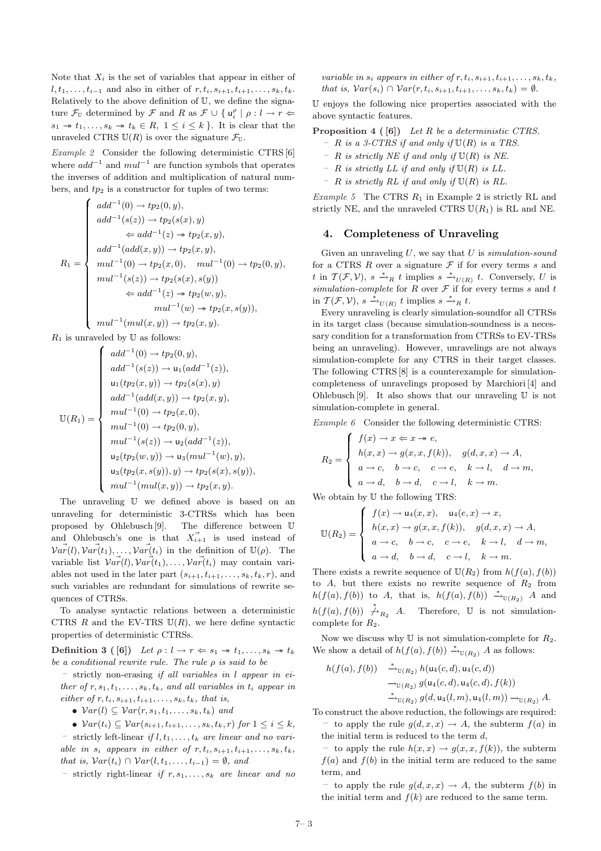Note that  $X_i$  is the set of variables that appear in either of  $l, t_1, \ldots, t_{i-1}$  and also in either of  $r, t_i, s_{i+1}, t_{i+1}, \ldots, s_k, t_k$ . Relatively to the above definition of U, we define the signature  $\mathcal{F}_{\mathbb{U}}$  determined by  $\mathcal{F}$  and R as  $\mathcal{F} \cup \{ \mathsf{u}_i^{\rho} \mid \rho : l \to r \Leftarrow$  $s_1 \rightarrow t_1, \ldots, s_k \rightarrow t_k \in R, 1 \leq i \leq k$ . It is clear that the unraveled CTRS  $U(R)$  is over the signature  $\mathcal{F}_U$ .

Example 2 Consider the following deterministic CTRS [6] where  $add^{-1}$  and  $mul^{-1}$  are function symbols that operates the inverses of addition and multiplication of natural numbers, and  $tp_2$  is a constructor for tuples of two terms:

$$
R_1 = \begin{cases} \n add^{-1}(0) \to tp_2(0, y), \\ \n add^{-1}(s(z)) \to tp_2(s(x), y) \\ \n \Leftarrow add^{-1}(z) \to tp_2(x, y), \\ \n add^{-1}(add(x, y)) \to tp_2(x, y), \\ \n mul^{-1}(0) \to tp_2(x, 0), \quad mul^{-1}(0) \to tp_2(0, y), \\ \n mul^{-1}(s(z)) \to tp_2(s(x), s(y)) \\ \n \Leftarrow add^{-1}(z) \to tp_2(w, y), \\ \n mul^{-1}(w) \to tp_2(x, s(y)), \\ \n mul^{-1}(mul(x, y)) \to tp_2(x, y). \n\end{cases}
$$

 $R_1$  is unraveled by U as follows:

$$
\mathbb{U}(R_1) = \begin{cases}\n add^{-1}(0) \to tp_2(0, y), \\
add^{-1}(s(z)) \to u_1(add^{-1}(z)), \\
u_1(tp_2(x, y)) \to tp_2(s(x), y) \\
add^{-1}(add(x, y)) \to tp_2(x, y), \\
mul^{-1}(0) \to tp_2(x, 0), \\
mul^{-1}(0) \to tp_2(0, y), \\
mul^{-1}(s(z)) \to u_2(add^{-1}(z)), \\
u_2(tp_2(w, y)) \to u_3(mul^{-1}(w), y), \\
u_3(tp_2(x, s(y)), y) \to tp_2(s(x), s(y)), \\
mul^{-1}(mul(x, y)) \to tp_2(x, y).\n\end{cases}
$$

The unraveling U we defined above is based on an unraveling for deterministic 3-CTRSs which has been proposed by Ohlebusch [9]. The difference between U and Ohlebusch's one is that  $\overrightarrow{X}_{i+1}$  is used instead of  $\vec{var}(l), \vec{var}(t_1), \dots, \vec{var}(t_i)$  in the definition of  $\mathbb{U}(\rho)$ . The variable list  $\vec{Var}(l), \vec{Var}(t_1), \ldots, \vec{Var}(t_i)$  may contain variables not used in the later part  $(s_{i+1}, t_{i+1}, \ldots, s_k, t_k, r)$ , and such variables are redundant for simulations of rewrite sequences of CTRSs.

To analyse syntactic relations between a deterministic CTRS  $R$  and the EV-TRS  $U(R)$ , we here define syntactic properties of deterministic CTRSs.

Definition 3 ([6]) Let  $\rho: l \to r \Leftrightarrow s_1 \to t_1, \ldots, s_k \to t_k$ be a conditional rewrite rule. The rule  $\rho$  is said to be

– strictly non-erasing if all variables in l appear in either of  $r, s_1, t_1, \ldots, s_k, t_k$ , and all variables in  $t_i$  appear in either of  $r, t_i, s_{i+1}, t_{i+1}, \ldots, s_k, t_k$ , that is,

•  $Var(l) \subseteq Var(r, s_1, t_1, \ldots, s_k, t_k)$  and

 $\bullet \; \mathcal{V}ar(t_i) \subseteq \mathcal{V}ar(s_{i+1}, t_{i+1}, \ldots, s_k, t_k, r) \; \text{for} \; 1 \leq i \leq k,$ – strictly left-linear if  $l, t_1, \ldots, t_k$  are linear and no variable in  $s_i$  appears in either of  $r, t_i, s_{i+1}, t_{i+1}, \ldots, s_k, t_k$ , that is,  $Var(t_i) \cap Var(l, t_1, \ldots, t_{i-1}) = \emptyset$ , and

– strictly right-linear if  $r, s_1, \ldots, s_k$  are linear and no

variable in  $s_i$  appears in either of  $r, t_i, s_{i+1}, t_{i+1}, \ldots, s_k, t_k$ , that is,  $Var(s_i) \cap Var(r, t_i, s_{i+1}, t_{i+1}, \ldots, s_k, t_k) = \emptyset.$ 

U enjoys the following nice properties associated with the above syntactic features.

**Proposition 4 (6)** Let R be a deterministic CTRS.

- $-$  R is a 3-CTRS if and only if  $\mathbb{U}(R)$  is a TRS.
- R is strictly NE if and only if  $U(R)$  is NE.
- $-$  R is strictly LL if and only if  $\mathbb{U}(R)$  is LL.
- $-$  R is strictly RL if and only if  $\mathbb{U}(R)$  is RL.

Example 5 The CTRS  $R_1$  in Example 2 is strictly RL and strictly NE, and the unraveled CTRS  $U(R_1)$  is RL and NE.

## 4. Completeness of Unraveling

Given an unraveling  $U$ , we say that  $U$  is simulation-sound for a CTRS  $R$  over a signature  $\mathcal F$  if for every terms  $s$  and t in  $\mathcal{T}(\mathcal{F}, \mathcal{V}), s \stackrel{*}{\rightharpoonup}_R t$  implies  $s \stackrel{*}{\rightharpoonup}_{U(R)} t$ . Conversely, U is simulation-complete for  $R$  over  $\mathcal F$  if for every terms  $s$  and  $t$ in  $\mathcal{T}(\mathcal{F}, \mathcal{V}), s \xrightarrow{*}_{U(R)} t$  implies  $s \xrightarrow{*}_{R} t$ .

Every unraveling is clearly simulation-soundfor all CTRSs in its target class (because simulation-soundness is a necessary condition for a transformation from CTRSs to EV-TRSs being an unraveling). However, unravelings are not always simulation-complete for any CTRS in their target classes. The following CTRS [8] is a counterexample for simulationcompleteness of unravelings proposed by Marchiori [4] and Ohlebusch [9]. It also shows that our unraveling  $U$  is not simulation-complete in general.

Example 6 Consider the following deterministic CTRS:

$$
R_2 = \begin{cases} f(x) \to x \Leftarrow x \to e, \\ h(x, x) \to g(x, x, f(k)), & g(d, x, x) \to A, \\ a \to c, & b \to c, & c \to e, & k \to l, & d \to m, \\ a \to d, & b \to d, & c \to l, & k \to m. \end{cases}
$$

We obtain by  $\mathbb U$  the following TRS:

$$
\mathbb{U}(R_2) = \begin{cases} f(x) \to \mathsf{u}_4(x, x), & \mathsf{u}_4(e, x) \to x, \\ h(x, x) \to g(x, x, f(k)), & g(d, x, x) \to A, \\ a \to c, & b \to c, & c \to e, & k \to l, & d \to m, \\ a \to d, & b \to d, & c \to l, & k \to m. \end{cases}
$$

There exists a rewrite sequence of  $U(R_2)$  from  $h(f(a), f(b))$ to  $A$ , but there exists no rewrite sequence of  $R_2$  from  $h(f(a), f(b))$  to A, that is,  $h(f(a), f(b)) \stackrel{*}{\longrightarrow}_{\mathbb{U}(R_2)}$  A and  $h(f(a), f(b)) \stackrel{*}{\not\to}_{R_2} A$ . Therefore, U is not simulationcomplete for  $R_2$ .

Now we discuss why  $\mathbb U$  is not simulation-complete for  $R_2$ . We show a detail of  $h(f(a), f(b)) \stackrel{*}{\rightarrow}_{\mathbb{U}(R_2)} A$  as follows:

$$
h(f(a), f(b)) \xrightarrow{\ast}_{\mathbb{U}(R_2)} h(\mathsf{u}_4(c, d), \mathsf{u}_4(c, d))
$$
  

$$
\rightarrow_{\mathbb{U}(R_2)} g(\mathsf{u}_4(c, d), \mathsf{u}_4(c, d), f(k))
$$
  

$$
\xrightarrow{\ast}_{\mathbb{U}(R_2)} g(d, \mathsf{u}_4(l, m), \mathsf{u}_4(l, m)) \rightarrow_{\mathbb{U}(R_2)} A.
$$

To construct the above reduction, the followings are required: – to apply the rule  $g(d, x, x) \rightarrow A$ , the subterm  $f(a)$  in the initial term is reduced to the term  $d$ ,

to apply the rule  $h(x, x) \rightarrow q(x, x, f(k))$ , the subterm  $f(a)$  and  $f(b)$  in the initial term are reduced to the same term, and

– to apply the rule  $g(d, x, x) \rightarrow A$ , the subterm  $f(b)$  in the initial term and  $f(k)$  are reduced to the same term.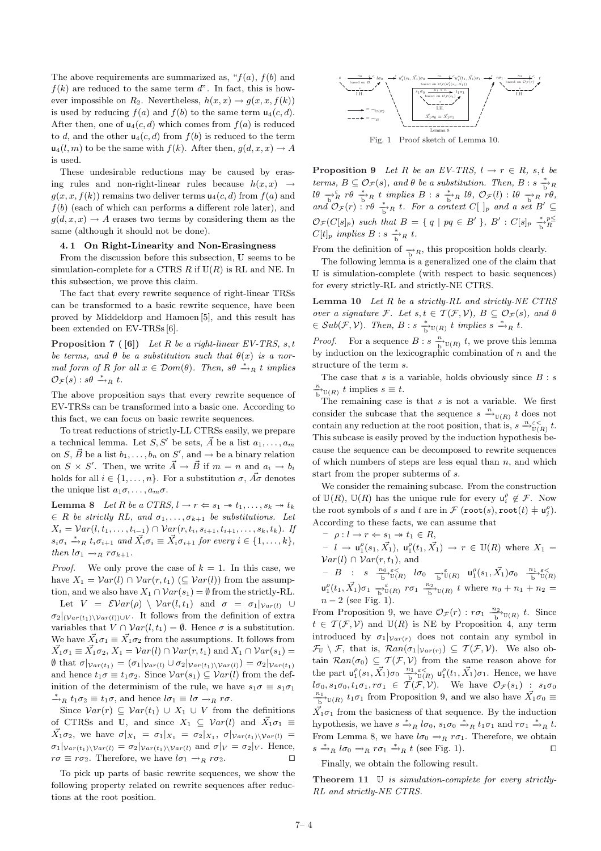The above requirements are summarized as, " $f(a)$ ,  $f(b)$  and  $f(k)$  are reduced to the same term  $d$ ". In fact, this is however impossible on  $R_2$ . Nevertheless,  $h(x, x) \rightarrow g(x, x, f(k))$ is used by reducing  $f(a)$  and  $f(b)$  to the same term  $u_4(c, d)$ . After then, one of  $u_4(c, d)$  which comes from  $f(a)$  is reduced to d, and the other  $u_4(c, d)$  from  $f(b)$  is reduced to the term  $u_4(l,m)$  to be the same with  $f(k)$ . After then,  $g(d, x, x) \rightarrow A$ is used.

These undesirable reductions may be caused by erasing rules and non-right-linear rules because  $h(x, x) \rightarrow$  $g(x, x, f(k))$  remains two deliver terms  $u_4(c, d)$  from  $f(a)$  and  $f(b)$  (each of which can performs a different role later), and  $q(d, x, x) \rightarrow A$  erases two terms by considering them as the same (although it should not be done).

#### 4. 1 On Right-Linearity and Non-Erasingness

From the discussion before this subsection, U seems to be simulation-complete for a CTRS R if  $U(R)$  is RL and NE. In this subsection, we prove this claim.

The fact that every rewrite sequence of right-linear TRSs can be transformed to a basic rewrite sequence, have been proved by Middeldorp and Hamoen [5], and this result has been extended on EV-TRSs [6].

**Proposition 7** ( $[6]$ ) Let R be a right-linear EV-TRS, s, t be terms, and  $\theta$  be a substitution such that  $\theta(x)$  is a normal form of R for all  $x \in Dom(\theta)$ . Then,  $s\theta \stackrel{*}{\rightarrow}_R t$  implies  $\mathcal{O}_{\mathcal{F}}(s)$ :  $s\theta \stackrel{*}{\rightarrow}_R t$ .

The above proposition says that every rewrite sequence of EV-TRSs can be transformed into a basic one. According to this fact, we can focus on basic rewrite sequences.

To treat reductions of strictly-LL CTRSs easily, we prepare a technical lemma. Let S, S' be sets,  $\vec{A}$  be a list  $a_1, \ldots, a_m$ on S,  $\vec{B}$  be a list  $b_1, \ldots, b_n$  on S', and  $\rightarrow$  be a binary relation on  $S \times S'$ . Then, we write  $\vec{A} \to \vec{B}$  if  $m = n$  and  $a_i \to b_i$ holds for all  $i \in \{1, \ldots, n\}$ . For a substitution  $\sigma$ ,  $\vec{A}\sigma$  denotes the unique list  $a_1 \sigma, \ldots, a_m \sigma$ .

Lemma 8 Let R be a CTRS,  $l \to r \Leftarrow s_1 \to t_1, \ldots, s_k \to t_k$  $\in$  R be strictly RL, and  $\sigma_1, \ldots, \sigma_{k+1}$  be substitutions. Let  $X_i = Var(l, t_1, \ldots, t_{i-1}) \cap Var(r, t_i, s_{i+1}, t_{i+1}, \ldots, s_k, t_k)$ . If  $s_i \sigma_i \stackrel{*}{\rightarrow}_R t_i \sigma_{i+1}$  and  $\vec{X}_i \sigma_i \equiv \vec{X}_i \sigma_{i+1}$  for every  $i \in \{1, \ldots, k\},$ then  $l\sigma_1 \rightarrow_R r\sigma_{k+1}$ .

*Proof.* We only prove the case of  $k = 1$ . In this case, we have  $X_1 = Var(l) \cap Var(r, t_1)$  ( $\subseteq Var(l)$ ) from the assumption, and we also have  $X_1 \cap \mathcal{V}ar(s_1) = \emptyset$  from the strictly-RL.

Let  $V = \mathcal{E} \mathcal{V}ar(\rho) \setminus \mathcal{V}ar(l, t_1)$  and  $\sigma = \sigma_1|_{\mathcal{V}ar(l)} \cup$  $\sigma_2|_{(Var(t_1)\setminus Var(l))\cup V}$ . It follows from the definition of extra variables that  $V \cap \mathcal{V}ar(l, t_1) = \emptyset$ . Hence  $\sigma$  is a substitution. We have  $\vec{X}_1 \sigma_1 \equiv \vec{X}_1 \sigma_2$  from the assumptions. It follows from  $\vec{X}_1 \sigma_1 \equiv \vec{X}_1 \sigma_2$ ,  $X_1 = \mathcal{V}ar(l) \cap \mathcal{V}ar(r, t_1)$  and  $X_1 \cap \mathcal{V}ar(s_1) =$  $\emptyset$  that  $\sigma|_{Var(t_1)} = (\sigma_1|_{Var(l)} \cup \sigma_2|_{Var(t_1)\setminus Var(l)}) = \sigma_2|_{Var(t_1)}$ and hence  $t_1\sigma \equiv t_1\sigma_2$ . Since  $Var(s_1) \subseteq Var(l)$  from the definition of the determinism of the rule, we have  $s_1\sigma \equiv s_1\sigma_1$  $\stackrel{*}{\rightarrow}_R t_1\sigma_2 \equiv t_1\sigma$ , and hence  $l\sigma_1 \equiv l\sigma \rightarrow_R r\sigma$ .

Since  $Var(r) \subseteq Var(t_1) \cup X_1 \cup V$  from the definitions of CTRSs and U, and since  $X_1 \subseteq \mathcal{V}ar(l)$  and  $\overrightarrow{X}_1\sigma_1 \equiv$  $\vec{X_1}\sigma_2$ , we have  $\sigma|_{X_1} = \sigma_1|_{X_1} = \sigma_2|_{X_1}$ ,  $\sigma|_{Var(t_1)\setminus Var(l)} =$  $\sigma_1|_{Var(t_1)\setminus Var(l)} = \sigma_2|_{Var(t_1)\setminus Var(l)}$  and  $\sigma|_V = \sigma_2|_V$ . Hence,  $r\sigma \equiv r\sigma_2$ . Therefore, we have  $l\sigma_1 \rightarrow_R r\sigma_2$ .  $\square$ 

To pick up parts of basic rewrite sequences, we show the following property related on rewrite sequences after reductions at the root position.



Fig. 1 Proof sketch of Lemma 10.

**Proposition 9** Let R be an EV-TRS,  $l \rightarrow r \in R$ , s, t be terms,  $B \subseteq \mathcal{O}_{\mathcal{F}}(s)$ , and  $\theta$  be a substitution. Then,  $B : s \stackrel{*}{\longrightarrow}_B R$  $l\theta \rightarrow_R^{\varepsilon} r\theta \rightarrow_R^* t \implies B : s \rightarrow_R^* l\theta, \mathcal{O}_{\mathcal{F}}(l) : l\theta \rightarrow_R^* r\theta,$ and  $\mathcal{O}_{\mathcal{F}}(r)$ :  $r\theta \stackrel{*}{\to}_R t$ . For a context  $C[\ ]_p$  and a set  $B' \subseteq$  $\mathcal{O}_{\mathcal{F}}(C[s]_p)$  such that  $B = \{ q \mid pq \in B' \}, B' : C[s]_p \stackrel{*}{\rightarrow} P^{\leq}_{R}$  $C[t]_p$  implies  $B : s \xrightarrow[\text{b}]{*} R t$ .

From the definition of  $\rightarrow R$ , this proposition holds clearly.

The following lemma is a generalized one of the claim that U is simulation-complete (with respect to basic sequences) for every strictly-RL and strictly-NE CTRS.

**Lemma 10** Let  $R$  be a strictly- $RL$  and strictly- $NE \hspace{0.1cm} CTRS$ over a signature F. Let  $s, t \in \mathcal{T}(\mathcal{F}, \mathcal{V}), B \subseteq \mathcal{O}_{\mathcal{F}}(s)$ , and  $\theta$  $\in Sub(\mathcal{F}, V)$ . Then,  $B : s \xrightarrow[b]{*} \mathbb{U}(R)$  t implies  $s \xrightarrow{*} R t$ .

*Proof.* For a sequence  $B : s \xrightarrow[\text{b}]{n} \mathbb{U}(R)$  t, we prove this lemma by induction on the lexicographic combination of  $n$  and the structure of the term s.

The case that s is a variable, holds obviously since  $B : s$  $\frac{n}{b}U(R)$  t implies  $s \equiv t$ .

The remaining case is that  $s$  is not a variable. We first consider the subcase that the sequence  $s \xrightarrow{n} U(R) t$  does not contain any reduction at the root position, that is,  $s \xrightarrow{\eta \varepsilon <} t$ . This subcase is easily proved by the induction hypothesis because the sequence can be decomposed to rewrite sequences of which numbers of steps are less equal than  $n$ , and which start from the proper subterms of s.

We consider the remaining subcase. From the construction of  $\mathbb{U}(R)$ ,  $\mathbb{U}(R)$  has the unique rule for every  $\mathsf{u}_i^{\rho} \notin \mathcal{F}$ . Now the root symbols of s and t are in  $\mathcal F$  (root(s), root(t)  $\neq u_j^{\rho}$ ). According to these facts, we can assume that

 $- \rho : l \to r \Leftarrow s_1 \to t_1 \in R$ ,  $- l \to u_1^{\rho}(s_1, \vec{X_1}), u_1^{\rho}(t_1, \vec{X_1}) \to r \in U(R)$  where  $X_1 =$  $Var(l) \cap Var(r, t_1)$ , and  $- B : s \xrightarrow[b \text{if } b \text{if } b] \text{if } b \text{if } b \text{if } b \text{if } b \text{if } b \text{if } b \text{if } b \text{if } b \text{if } b \text{if } b \text{if } b \text{if } b \text{if } b \text{if } b \text{if } b \text{if } b \text{if } b \text{if } b \text{if } b \text{if } b \text{if } b \text{if } b \text{if } b \text{if } b \text{if } b \text{if } b \text{if } b \text{if } b \text{if } b \text{if } b \text{if } b \text{if } b \text{if } b \$  $\mathsf{u}_1^{\rho}(t_1, \vec{X_1})\sigma_1 \xrightarrow[\text{b}]{\varepsilon} \mathsf{v}(R)$   $r\sigma_1 \xrightarrow[\text{b}]{n_2} \mathsf{v}(R)$  t where  $n_0 + n_1 + n_2 =$  $n - 2$  (see Fig. 1).

From Proposition 9, we have  $\mathcal{O}_{\mathcal{F}}(r) : r \sigma_1 \xrightarrow[b]{n_2} \mathbb{U}(R)$  t. Since  $t \in \mathcal{T}(\mathcal{F}, \mathcal{V})$  and  $\mathbb{U}(R)$  is NE by Proposition 4, any term introduced by  $\sigma_1|_{Var(r)}$  does not contain any symbol in  $\mathcal{F}_{\mathbb{U}} \setminus \mathcal{F}$ , that is,  $\mathcal{R}an(\sigma_1|_{Var(r)}) \subseteq \mathcal{T}(\mathcal{F}, \mathcal{V})$ . We also obtain  $\mathcal{R}an(\sigma_0) \subseteq \mathcal{T}(\mathcal{F}, \mathcal{V})$  from the same reason above for the part  $\mathsf{u}_1^{\rho}(s_1, \vec{X_1})\sigma_0 \stackrel{n_1}{\rightarrow} \frac{\varepsilon}{\mathbb{U}(R)} \mathsf{u}_1^{\rho}(t_1, \vec{X_1})\sigma_1$ . Hence, we have  $l\sigma_0, s_1\sigma_0, t_1\sigma_1, r\sigma_1 \in \mathcal{T}(\mathcal{F}, \mathcal{V})$ . We have  $\mathcal{O}_{\mathcal{F}}(s_1)$ :  $s_1\sigma_0$  $\frac{n_1}{b}$ <sup>0</sup>∪(*R*)  $t_1 \sigma_1$  from Proposition 9, and we also have  $\vec{X_1} \sigma_0$  ≡  $\vec{X}_1\sigma_1$  from the basicness of that sequence. By the induction hypothesis, we have  $s \stackrel{*}{\rightarrow}_R l\sigma_0$ ,  $s_1\sigma_0 \stackrel{*}{\rightarrow}_R t_1\sigma_1$  and  $r\sigma_1 \stackrel{*}{\rightarrow}_R t$ . From Lemma 8, we have  $l\sigma_0 \rightarrow_R r\sigma_1$ . Therefore, we obtain  $s \stackrel{*}{\rightarrow}_R l\sigma_0 \rightarrow_R r\sigma_1 \stackrel{*}{\rightarrow}_R t$  (see Fig. 1).

Finally, we obtain the following result.

Theorem  $11$  U is simulation-complete for every strictly-RL and strictly-NE CTRS.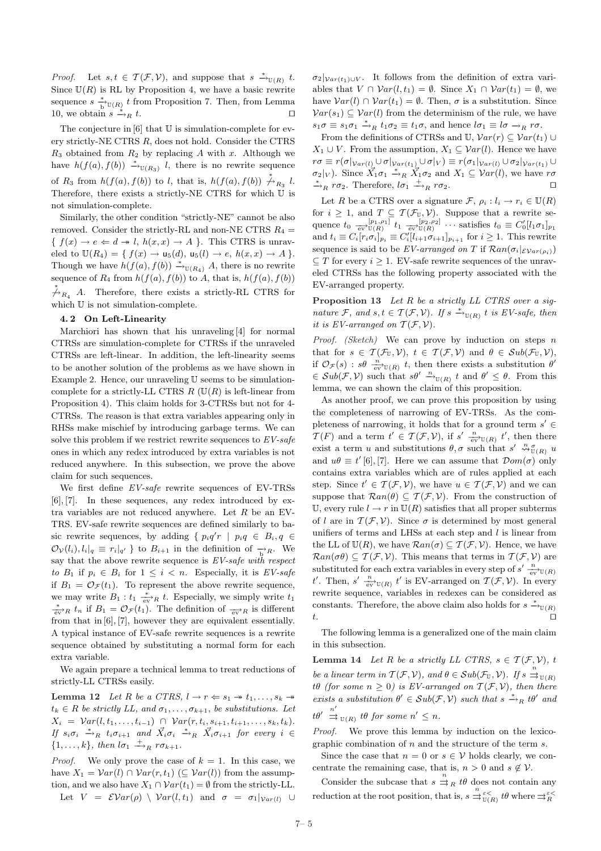*Proof.* Let  $s, t \in \mathcal{T}(\mathcal{F}, \mathcal{V})$ , and suppose that  $s \stackrel{*}{\to}_{\mathbb{U}(R)} t$ . Since  $\mathbb{U}(R)$  is RL by Proposition 4, we have a basic rewrite sequence  $s \xrightarrow[\text{b}]{*} \mathbb{U}(R)$  t from Proposition 7. Then, from Lemma 10, we obtain  $s \stackrel{*}{\rightarrow}_R t$ .  $\stackrel{*}{\rightarrow}_R t.$ 

The conjecture in  $[6]$  that U is simulation-complete for every strictly-NE CTRS R, does not hold. Consider the CTRS  $R_3$  obtained from  $R_2$  by replacing A with x. Although we have  $h(f(a), f(b)) \stackrel{*}{\rightarrow}_{\mathbb{U}(R_3)} l$ , there is no rewrite sequence of  $R_3$  from  $h(f(a), f(b))$  to l, that is,  $h(f(a), f(b)) \stackrel{*}{\not\to}_{R_3} l$ . Therefore, there exists a strictly-NE CTRS for which U is not simulation-complete.

Similarly, the other condition "strictly-NE" cannot be also removed. Consider the strictly-RL and non-NE CTRS  $R_4$  =  $\{f(x) \to e \Leftarrow d \twoheadrightarrow l, h(x, x) \to A \}.$  This CTRS is unraveled to  $\mathbb{U}(R_4) = \{ f(x) \rightarrow u_5(d), u_5(l) \rightarrow e, h(x,x) \rightarrow A \}.$ Though we have  $h(f(a), f(b)) \xrightarrow{\ast}_{\mathbb{U}(R_4)} A$ , there is no rewrite sequence of  $R_4$  from  $h(f(a), f(b))$  to A, that is,  $h(f(a), f(b))$  $\stackrel{*}{\not\to}_{R_4}$  A. Therefore, there exists a strictly-RL CTRS for which U is not simulation-complete.

#### 4. 2 On Left-Linearity

Marchiori has shown that his unraveling [4] for normal CTRSs are simulation-complete for CTRSs if the unraveled CTRSs are left-linear. In addition, the left-linearity seems to be another solution of the problems as we have shown in Example 2. Hence, our unraveling U seems to be simulationcomplete for a strictly-LL CTRS  $R$  ( $\mathbb{U}(R)$  is left-linear from Proposition 4). This claim holds for 3-CTRSs but not for 4- CTRSs. The reason is that extra variables appearing only in RHSs make mischief by introducing garbage terms. We can solve this problem if we restrict rewrite sequences to  $EV\text{-}safe$ ones in which any redex introduced by extra variables is not reduced anywhere. In this subsection, we prove the above claim for such sequences.

We first define EV-safe rewrite sequences of EV-TRSs [6], [7]. In these sequences, any redex introduced by extra variables are not reduced anywhere. Let  $R$  be an EV-TRS. EV-safe rewrite sequences are defined similarly to basic rewrite sequences, by adding {  $p_i q'r \mid p_i q \in B_i, q \in$  $\mathcal{O}_{\mathcal{V}}(l_i), l_i|_q \equiv r_i|_{q'}$  } to  $B_{i+1}$  in the definition of  $\frac{1}{b}R$ . We say that the above rewrite sequence is  $EV\text{-}safe$  with respect to  $B_1$  if  $p_i \in B_i$  for  $1 \leq i \leq n$ . Especially, it is *EV-safe* if  $B_1 = \mathcal{O}_{\mathcal{F}}(t_1)$ . To represent the above rewrite sequence, we may write  $B_1: t_1 \xrightarrow[\text{ev}]{} R$  t. Especially, we simply write  $t_1$  $\frac{*}{\sqrt{ev}}$ R  $t_n$  if  $B_1 = \mathcal{O}_{\mathcal{F}}(t_1)$ . The definition of  $\frac{e}{\sqrt{ev}}$  is different from that in [6], [7], however they are equivalent essentially. A typical instance of EV-safe rewrite sequences is a rewrite sequence obtained by substituting a normal form for each extra variable.

We again prepare a technical lemma to treat reductions of strictly-LL CTRSs easily.

**Lemma 12** Let R be a CTRS,  $l \rightarrow r \Leftarrow s_1 \rightarrow t_1, \ldots, s_k \rightarrow t_k$  $t_k \in R$  be strictly LL, and  $\sigma_1, \ldots, \sigma_{k+1}$ , be substitutions. Let  $X_i = \mathcal{V}ar(l, t_1, \ldots, t_{i-1}) \cap \mathcal{V}ar(r, t_i, s_{i+1}, t_{i+1}, \ldots, s_k, t_k).$ If  $s_i \sigma_i \stackrel{*}{\rightarrow}_R t_i \sigma_{i+1}$  and  $\vec{X}_i \sigma_i \stackrel{*}{\rightarrow}_R \vec{X}_i \sigma_{i+1}$  for every  $i \in$  $\{1,\ldots,k\}$ , then  $l\sigma_1 \stackrel{+}{\longrightarrow}_R r\sigma_{k+1}$ .

*Proof.* We only prove the case of  $k = 1$ . In this case, we have  $X_1 = \mathcal{V}ar(l) \cap \mathcal{V}ar(r, t_1) \subseteq \mathcal{V}ar(l)$  from the assumption, and we also have  $X_1 \cap \mathcal{V}ar(t_1) = \emptyset$  from the strictly-LL. Let  $V = \mathcal{E} \mathcal{V}ar(\rho) \setminus \mathcal{V}ar(l, t_1)$  and  $\sigma = \sigma_1|_{\mathcal{V}ar(l)} \cup$   $\sigma_2|_{Var(t_1)\cup V}$ . It follows from the definition of extra variables that  $V \cap \mathcal{V}ar(l, t_1) = \emptyset$ . Since  $X_1 \cap \mathcal{V}ar(t_1) = \emptyset$ , we have  $Var(l) \cap Var(t_1) = \emptyset$ . Then,  $\sigma$  is a substitution. Since  $Var(s_1) \subseteq Var(l)$  from the determinism of the rule, we have  $s_1\sigma \equiv s_1\sigma_1 \stackrel{*}{\rightarrow}_R t_1\sigma_2 \equiv t_1\sigma$ , and hence  $l\sigma_1 \equiv l\sigma \rightarrow_R r\sigma$ .

From the definitions of CTRSs and U,  $Var(r) \subseteq Var(t_1) \cup$  $X_1 \cup V$ . From the assumption,  $X_1 \subseteq Var(l)$ . Hence we have  $r\sigma \equiv r(\sigma|_{Var(l)} \cup \sigma|_{Var(t_1)} \cup \sigma|_V) \equiv r(\sigma_1|_{Var(l)} \cup \sigma_2|_{Var(t_1)} \cup$  $\sigma_2|_V$ ). Since  $\overrightarrow{X}_1\sigma_1 \stackrel{*}{\rightarrow}_R \overrightarrow{X}_1\sigma_2$  and  $X_1 \subseteq \mathcal{V}ar(l)$ , we have  $r\sigma$  $\stackrel{*}{\rightarrow}_R r\sigma_2$ . Therefore,  $l\sigma_1 \stackrel{+}{\rightarrow}_R r\sigma_2$ .

Let R be a CTRS over a signature  $\mathcal{F}, \rho_i : l_i \to r_i \in \mathbb{U}(R)$ for  $i \geq 1$ , and  $T \subseteq \mathcal{T}(\mathcal{F}_{\mathbb{U}}, \mathcal{V})$ . Suppose that a rewrite sequence  $t_0 \xrightarrow[\text{ev}]{[p_1,\rho_1]} t_1 \xrightarrow[\text{ev}]{[p_2,\rho_2]} \cdots$  satisfies  $t_0 \equiv C'_0[l_1\sigma_1]_{p_1}$ and  $t_i \equiv C_i [r_i \sigma_i]_{p_i} \equiv C'_i [l_{i+1} \sigma_{i+1}]_{p_{i+1}}$  for  $i \geq 1$ . This rewrite sequence is said to be EV-arranged on T if  $\mathcal{R}an(\sigma_i|_{\mathcal{EVar}(\rho_i)})$  $\subset T$  for every  $i > 1$ . EV-safe rewrite sequences of the unraveled CTRSs has the following property associated with the EV-arranged property.

Proposition 13 Let R be a strictly LL CTRS over a signature F, and  $s, t \in \mathcal{T}(\mathcal{F}, \mathcal{V})$ . If  $s \stackrel{*}{\rightarrow}_{\mathbb{U}(R)} t$  is EV-safe, then it is EV-arranged on  $\mathcal{T}(\mathcal{F}, \mathcal{V})$ .

*Proof.* (Sketch) We can prove by induction on steps n that for  $s \in \mathcal{T}(\mathcal{F}_{\mathbb{U}}, \mathcal{V}), t \in \mathcal{T}(\mathcal{F}, \mathcal{V})$  and  $\theta \in Sub(\mathcal{F}_{\mathbb{U}}, \mathcal{V}),$ if  $\mathcal{O}_{\mathcal{F}}(s)$  :  $s\theta \xrightarrow[\text{ev}]{n} U(R)$  t, then there exists a substitution  $\theta'$  $\in Sub(\mathcal{F}, V)$  such that  $s\theta' \stackrel{n}{\rightarrow}_{\mathbb{U}(R)} t$  and  $\theta' \leq \theta$ . From this lemma, we can shown the claim of this proposition.

As another proof, we can prove this proposition by using the completeness of narrowing of EV-TRSs. As the completeness of narrowing, it holds that for a ground term  $s' \in$  $\mathcal{T}(F)$  and a term  $t' \in \mathcal{T}(\mathcal{F}, V)$ , if  $s' \xrightarrow[\text{ev}]{n} \mathbb{U}(R)$  t', then there exist a term u and substitutions  $\theta$ ,  $\sigma$  such that  $s' \stackrel{n}{\leadsto} \mathfrak{g}_{(R)}^{\sigma} u$ and  $u\theta \equiv t'$  [6], [7]. Here we can assume that  $\mathcal{D}om(\sigma)$  only contains extra variables which are of rules applied at each step. Since  $t' \in \mathcal{T}(\mathcal{F}, \mathcal{V})$ , we have  $u \in \mathcal{T}(\mathcal{F}, \mathcal{V})$  and we can suppose that  $\mathcal{R}an(\theta) \subseteq \mathcal{T}(\mathcal{F}, \mathcal{V})$ . From the construction of U, every rule  $l \to r$  in  $U(R)$  satisfies that all proper subterms of l are in  $\mathcal{T}(\mathcal{F}, \mathcal{V})$ . Since  $\sigma$  is determined by most general unifiers of terms and LHSs at each step and  $l$  is linear from the LL of  $U(R)$ , we have  $\mathcal{R}an(\sigma) \subseteq \mathcal{T}(\mathcal{F}, \mathcal{V})$ . Hence, we have  $\mathcal{R}an(\sigma\theta) \subseteq \mathcal{T}(\mathcal{F}, \mathcal{V})$ . This means that terms in  $\mathcal{T}(\mathcal{F}, \mathcal{V})$  are substituted for each extra variables in every step of  $s' \frac{n}{\text{ev}} \mathbb{U}(R)$ t'. Then, s'  $\frac{n}{ev}v_{(R)}$  t' is EV-arranged on  $\mathcal{T}(\mathcal{F}, \mathcal{V})$ . In every rewrite sequence, variables in redexes can be considered as constants. Therefore, the above claim also holds for  $s \stackrel{*}{\rightharpoonup}_{\mathbb{U}(R)}$ t.

The following lemma is a generalized one of the main claim in this subsection.

Lemma 14 Let R be a strictly LL CTRS,  $s \in \mathcal{T}(\mathcal{F}, \mathcal{V})$ , t be a linear term in  $\mathcal{T}(\mathcal{F}, \mathcal{V})$ , and  $\theta \in Sub(\mathcal{F}_{\mathbb{U}}, \mathcal{V})$ . If  $s \stackrel{n}{\Rightarrow}_{\mathbb{U}(R)}$ t $\theta$  (for some  $n \geq 0$ ) is EV-arranged on  $\mathcal{T}(\mathcal{F}, \mathcal{V})$ , then there exists a substitution  $\theta' \in Sub(\mathcal{F}, V)$  such that  $s \stackrel{*}{\longrightarrow}_R t\theta'$  and  $t\theta'\ \stackrel{n'}{\rightrightarrows}$  $\stackrel{n}{\Rightarrow}_{\mathbb{U}(R)}$  t $\theta$  for some  $n' \leq n$ .

Proof. We prove this lemma by induction on the lexicographic combination of  $n$  and the structure of the term  $s$ .

Since the case that  $n = 0$  or  $s \in V$  holds clearly, we concentrate the remaining case, that is,  $n > 0$  and  $s \notin V$ .

Consider the subcase that  $s \stackrel{n}{\rightrightarrows_R} t\theta$  does not contain any reduction at the root position, that is,  $s \stackrel{n}{\Rightarrow}_{\mathbb{U}(R)}^{\varepsilon} t\theta$  where  $\Rightarrow_R^{\varepsilon <}$